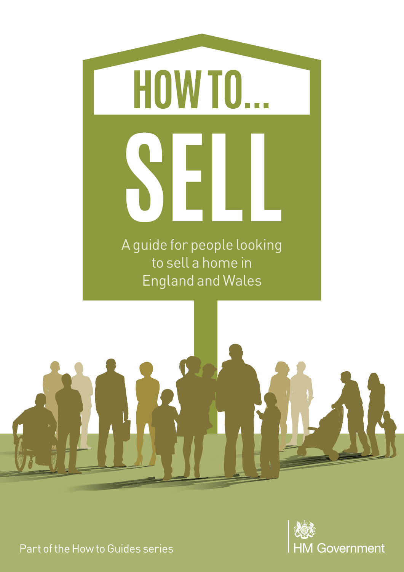





Part of the How to Guides series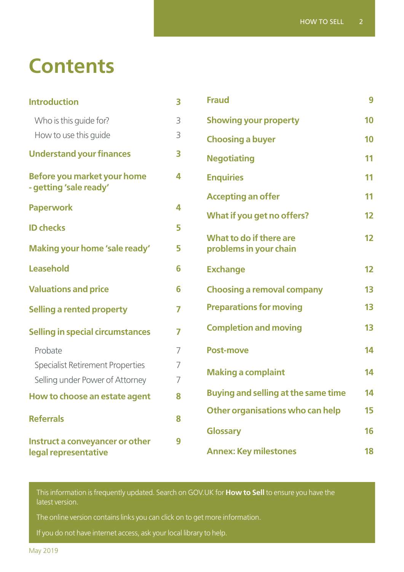# **Contents**

| <b>Introduction</b>                                     | $\overline{\mathbf{3}}$ | <b>Fraud</b>                                      | 9               |
|---------------------------------------------------------|-------------------------|---------------------------------------------------|-----------------|
| Who is this guide for?                                  | 3                       | <b>Showing your property</b>                      |                 |
| How to use this guide                                   | 3                       | <b>Choosing a buyer</b>                           | 10              |
| <b>Understand your finances</b>                         | 3                       | <b>Negotiating</b>                                |                 |
| Before you market your home<br>- getting 'sale ready'   | 4                       | <b>Enquiries</b>                                  | 11              |
|                                                         |                         | <b>Accepting an offer</b>                         | 11              |
| <b>Paperwork</b>                                        | 4                       | What if you get no offers?                        | 12              |
| <b>ID checks</b>                                        | 5                       |                                                   | 12 <sup>2</sup> |
| Making your home 'sale ready'                           | 5                       | What to do if there are<br>problems in your chain |                 |
| Leasehold                                               | 6                       | <b>Exchange</b>                                   | 12 <sup>2</sup> |
| <b>Valuations and price</b>                             | 6                       | <b>Choosing a removal company</b>                 | 13              |
| <b>Selling a rented property</b>                        | 7                       | <b>Preparations for moving</b>                    | 13              |
| <b>Selling in special circumstances</b>                 | $\overline{7}$          | <b>Completion and moving</b>                      | 13              |
| Probate                                                 | 7                       | <b>Post-move</b>                                  | 14              |
| <b>Specialist Retirement Properties</b>                 | $\overline{7}$          |                                                   | 14              |
| Selling under Power of Attorney                         | 7                       | <b>Making a complaint</b>                         |                 |
| How to choose an estate agent                           | 8                       | <b>Buying and selling at the same time</b>        | 14              |
| <b>Referrals</b>                                        | 8                       | Other organisations who can help                  | 15              |
|                                                         |                         | <b>Glossary</b>                                   | 16              |
| Instruct a conveyancer or other<br>legal representative | 9                       | <b>Annex: Key milestones</b>                      | 18              |

This information is frequently updated. Search on [GOV.UK](http://GOV.UK) for **How to Sell** to ensure you have the latest version.

The online version contains links you can click on to get more information.

If you do not have internet access, ask your local library to help.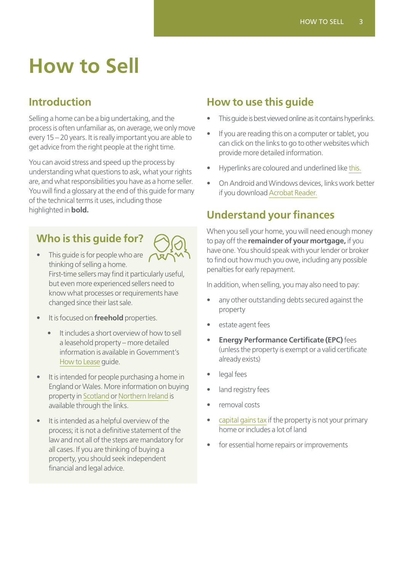# **How to Sell**

# <span id="page-2-0"></span>**Introduction**

Selling a home can be a big undertaking, and the process is often unfamiliar as, on average, we only move every 15 – 20 years. It is really important you are able to get advice from the right people at the right time.

You can avoid stress and speed up the process by understanding what questions to ask, what your rights are, and what responsibilities you have as a home seller. You will find a glossary at the end of this guide for many of the technical terms it uses, including those highlighted in **bold.**

# **Who is this guide for?**



- This guide is for people who are thinking of selling a home. First-time sellers may find it particularly useful, but even more experienced sellers need to know what processes or requirements have changed since their last sale.
- It is focused on **freehold** properties.
	- It includes a short overview of how to sell a leasehold property – more detailed information is available in Government's [How to Lease](https://www.gov.uk/government/publications/how-to-lease) guide.
- It is intended for people purchasing a home in England or Wales. More information on buying property in [Scotland](https://www2.gov.scot/resource/doc/1125/0083346.pdf) or [Northern Ireland](https://www.nidirect.gov.uk/articles/buying-a-home-step-by-step-guide) is available through the links.
- It is intended as a helpful overview of the process; it is not a definitive statement of the law and not all of the steps are mandatory for all cases. If you are thinking of buying a property, you should seek independent financial and legal advice.

# **How to use this guide**

- This guide is best viewed online as it contains hyperlinks.
- If you are reading this on a computer or tablet, you can click on the links to go to other websites which provide more detailed information.
- Hyperlinks are coloured and underlined like this.
- On Android and Windows devices, links work better if you download [Acrobat Reader.](https://get.adobe.com/uk/reader/)

# **Understand your finances**

When you sell your home, you will need enough money to pay off the **remainder of your mortgage,** if you have one. You should speak with your lender or broker to find out how much you owe, including any possible penalties for early repayment.

In addition, when selling, you may also need to pay:

- any other outstanding debts secured against the property
- estate agent fees
- **Energy Performance Certificate (EPC)** fees (unless the property is exempt or a valid certificate already exists)
- legal fees
- land registry fees
- removal costs
- [capital gains tax](https://www.gov.uk/tax-sell-property) if the property is not your primary home or includes a lot of land
- for essential home repairs or improvements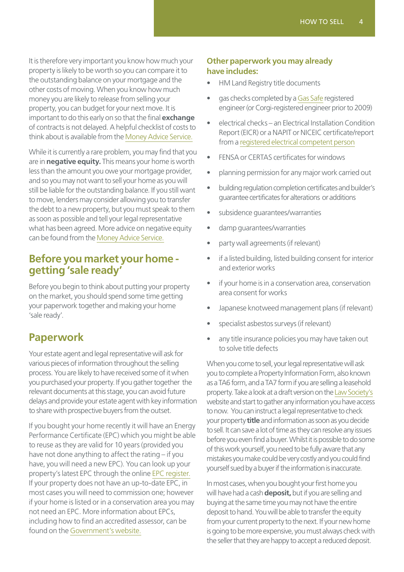It is therefore very important you know how much your property is likely to be worth so you can compare it to the outstanding balance on your mortgage and the other costs of moving. When you know how much money you are likely to release from selling your property, you can budget for your next move. It is important to do this early on so that the final **exchange** of contracts is not delayed. A helpful checklist of costs to think about is available from the [Money Advice Service.](https://www.moneyadviceservice.org.uk/en/articles/planning-for-the-cost-of-moving-day)

While it is currently a rare problem, you may find that you are in **negative equity.** This means your home is worth less than the amount you owe your mortgage provider, and so you may not want to sell your home as you will still be liable for the outstanding balance. If you still want to move, lenders may consider allowing you to transfer the debt to a new property, but you must speak to them as soon as possible and tell your legal representative what has been agreed. More advice on negative equity can be found from the [Money Advice Service.](https://www.moneyadviceservice.org.uk/en/articles/negative-equity-what-it-means-and-what-you-can-do-about-it)

#### **Before you market your home getting 'sale ready'**

Before you begin to think about putting your property on the market, you should spend some time getting your paperwork together and making your home 'sale ready'.

### **Paperwork**

Your estate agent and legal representative will ask for various pieces of information throughout the selling process. You are likely to have received some of it when you purchased your property. If you gather together the relevant documents at this stage, you can avoid future delays and provide your estate agent with key information to share with prospective buyers from the outset.

If you bought your home recently it will have an Energy Performance Certificate (EPC) which you might be able to reuse as they are valid for 10 years (provided you have not done anything to affect the rating – if you have, you will need a new EPC). You can look up your property's latest EPC through the online [EPC register.](https://www.epcregister.com/reportSearchAddressByPostcode.html) If your property does not have an up-to-date EPC, in most cases you will need to commission one; however if your home is listed or in a conservation area you may not need an EPC. More information about EPCs, including how to find an accredited assessor, can be found on the [Government's website.](https://www.gov.uk/buy-sell-your-home/energy-performance-certificates)

#### **Other paperwork you may already have includes:**

- HM Land Registry title documents
- gas checks completed by a [Gas Safe](https://www.gassaferegister.co.uk/) registered engineer (or Corgi-registered engineer prior to 2009)
- electrical checks an Electrical Installation Condition Report (EICR) or a NAPIT or NICEIC certificate/report from a [registered electrical competent person](http://www.electricalcompetentperson.co.uk/)
- FENSA or CERTAS certificates for windows
- planning permission for any major work carried out
- building regulation completion certificates and builder's guarantee certificates for alterations or additions
- subsidence quarantees/warranties
- damp quarantees/warranties
- party wall agreements (if relevant)
- if a listed building, listed building consent for interior and exterior works
- if your home is in a conservation area, conservation area consent for works
- Japanese knotweed management plans (if relevant)
- specialist asbestos surveys (if relevant)
- any title insurance policies you may have taken out to solve title defects

When you come to sell, your legal representative will ask you to complete a Property Information Form, also known as a TA6 form, and a TA7 form if you are selling a leasehold property. Take a look at a draft version on the [Law Society's](https://www.lawsociety.org.uk/support-services/documents/TA6-form-specimen/) website and start to gather any information you have access to now. You can instruct a legal representative to check your property **title** and information as soon as you decide to sell. It can save a lot of time as they can resolve any issues before you even find a buyer. Whilst it is possible to do some of this work yourself, you need to be fully aware that any mistakes you make could be very costly and you could find yourself sued by a buyer if the information is inaccurate.

In most cases, when you bought your first home you will have had a cash **deposit,** but if you are selling and buying at the same time you may not have the entire deposit to hand. You will be able to transfer the equity from your current property to the next. If your new home is going to be more expensive, you must always check with the seller that they are happy to accept a reduced deposit.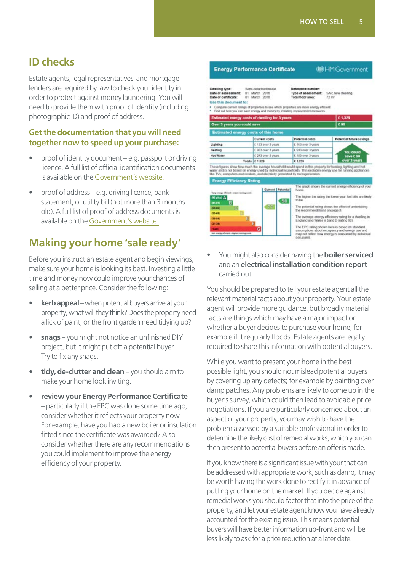### <span id="page-4-0"></span>**ID checks**

Estate agents, legal representatives and mortgage lenders are required by law to check your identity in order to protect against money laundering. You will need to provide them with proof of identity (including photographic ID) and proof of address.

#### **Get the documentation that you will need together now to speed up your purchase:**

- proof of identity document e.g. passport or driving licence. A full list of official identification documents is available on the [Government's website.](https://www.gov.uk/government/publications/proof-of-identity-checklist/proof-of-identity-checklist#proof-of-identity-checklist-for-individuals)
- proof of address e.g. driving licence, bank statement, or utility bill (not more than 3 months old). A full list of proof of address documents is available on the [Government's website.](https://www.gov.uk/government/publications/proof-of-identity-checklist/proof-of-identity-checklist#proof-of-identity-checklist-for-individuals)

### **Making your home 'sale ready'**

Before you instruct an estate agent and begin viewings, make sure your home is looking its best. Investing a little time and money now could improve your chances of selling at a better price. Consider the following:

- **kerb appeal** when potential buyers arrive at your property, what will they think? Does the property need a lick of paint, or the front garden need tidying up?
- **snags** you might not notice an unfinished DIY project, but it might put off a potential buyer. Try to fix any snags.
- **tidy, de-clutter and clean** you should aim to make your home look inviting.
- **review your Energy Performance Certificate** – particularly if the EPC was done some time ago, consider whether it reflects your property now. For example, have you had a new boiler or insulation fitted since the certificate was awarded? Also consider whether there are any recommendations you could implement to improve the energy efficiency of your property.



• You might also consider having the **boiler serviced** and an **electrical installation condition report** carried out.

You should be prepared to tell your estate agent all the relevant material facts about your property. Your estate agent will provide more guidance, but broadly material facts are things which may have a major impact on whether a buyer decides to purchase your home; for example if it regularly floods. Estate agents are legally required to share this information with potential buyers.

While you want to present your home in the best possible light, you should not mislead potential buyers by covering up any defects; for example by painting over damp patches. Any problems are likely to come up in the buyer's survey, which could then lead to avoidable price negotiations. If you are particularly concerned about an aspect of your property, you may wish to have the problem assessed by a suitable professional in order to determine the likely cost of remedial works, which you can then present to potential buyers before an offer is made.

If you know there is a significant issue with your that can be addressed with appropriate work, such as damp, it may be worth having the work done to rectify it in advance of putting your home on the market. If you decide against remedial works you should factor that into the price of the property, and let your estate agent know you have already accounted for the existing issue. This means potential buyers will have better information up-front and will be less likely to ask for a price reduction at a later date.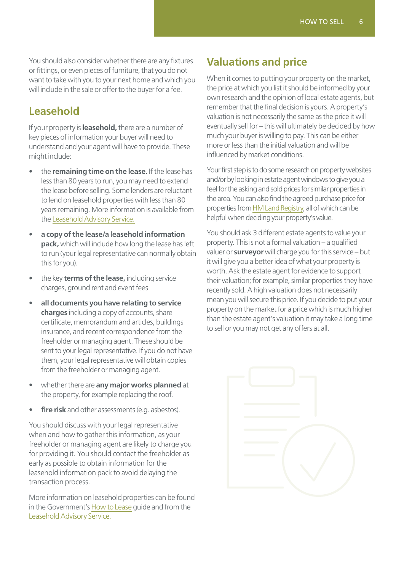You should also consider whether there are any fixtures or fittings, or even pieces of furniture, that you do not want to take with you to your next home and which you will include in the sale or offer to the buyer for a fee.

#### <span id="page-5-0"></span>**Leasehold**

If your property is **leasehold,** there are a number of key pieces of information your buyer will need to understand and your agent will have to provide. These might include:

- the **remaining time on the lease.** If the lease has less than 80 years to run, you may need to extend the lease before selling. Some lenders are reluctant to lend on leasehold properties with less than 80 years remaining. More information is available from the [Leasehold Advisory Service.](https://www.lease-advice.org/)
- **a copy of the lease/a leasehold information pack,** which will include how long the lease has left to run (your legal representative can normally obtain this for you).
- the key **terms of the lease,** including service charges, ground rent and event fees
- **all documents you have relating to service charges** including a copy of accounts, share certificate, memorandum and articles, buildings insurance, and recent correspondence from the freeholder or managing agent. These should be sent to your legal representative. If you do not have them, your legal representative will obtain copies from the freeholder or managing agent.
- whether there are **any major works planned** at the property, for example replacing the roof.
- **fire risk** and other assessments (e.g. asbestos).

You should discuss with your legal representative when and how to gather this information, as your freeholder or managing agent are likely to charge you for providing it. You should contact the freeholder as early as possible to obtain information for the leasehold information pack to avoid delaying the transaction process.

More information on leasehold properties can be found in the Government's [How to Lease](https://assets.publishing.service.gov.uk/government/uploads/system/uploads/attachment_data/file/718972/How_to_Lease_Jun18.pdf) guide and from the [Leasehold Advisory Service.](https://www.lease-advice.org/)

### **Valuations and price**

When it comes to putting your property on the market, the price at which you list it should be informed by your own research and the opinion of local estate agents, but remember that the final decision is yours. A property's valuation is not necessarily the same as the price it will eventually sell for – this will ultimately be decided by how much your buyer is willing to pay. This can be either more or less than the initial valuation and will be influenced by market conditions.

Your first step is to do some research on property websites and/or by looking in estate agent windows to give you a feel for the asking and sold prices for similar properties in the area. You can also find the agreed purchase price for properties from [HM Land Registry,](http://landregistry.data.gov.uk/app/ppd/) all of which can be helpful when deciding your property's value.

You should ask 3 different estate agents to value your property. This is not a formal valuation – a qualified valuer or **surveyor** will charge you for this service – but it will give you a better idea of what your property is worth. Ask the estate agent for evidence to support their valuation; for example, similar properties they have recently sold. A high valuation does not necessarily mean you will secure this price. If you decide to put your property on the market for a price which is much higher than the estate agent's valuation it may take a long time to sell or you may not get any offers at all.

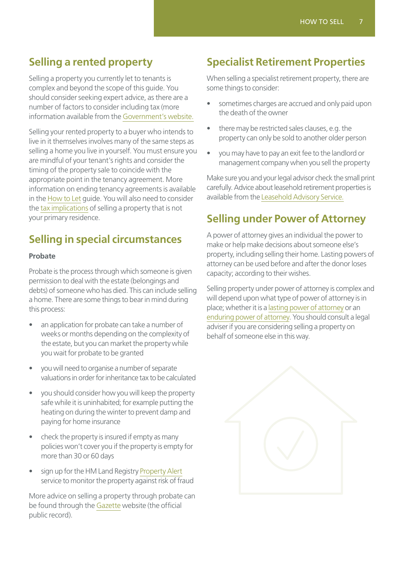### <span id="page-6-0"></span>**Selling a rented property**

Selling a property you currently let to tenants is complex and beyond the scope of this guide. You should consider seeking expert advice, as there are a number of factors to consider including tax (more information available from the [Government's website.](https://www.gov.uk/tax-sell-property)

Selling your rented property to a buyer who intends to live in it themselves involves many of the same steps as selling a home you live in yourself. You must ensure you are mindful of your tenant's rights and consider the timing of the property sale to coincide with the appropriate point in the tenancy agreement. More information on ending tenancy agreements is available in the [How to Let](https://www.gov.uk/government/publications/how-to-let) guide. You will also need to consider the [tax implications](https://www.gov.uk/capital-gains-tax) of selling a property that is not your primary residence.

### **Selling in special circumstances**

#### **Probate**

Probate is the process through which someone is given permission to deal with the estate (belongings and debts) of someone who has died. This can include selling a home. There are some things to bear in mind during this process:

- an application for probate can take a number of weeks or months depending on the complexity of the estate, but you can market the property while you wait for probate to be granted
- you will need to organise a number of separate valuations in order for inheritance tax to be calculated
- you should consider how you will keep the property safe while it is uninhabited; for example putting the heating on during the winter to prevent damp and paying for home insurance
- check the property is insured if empty as many policies won't cover you if the property is empty for more than 30 or 60 days
- sign up for the HM Land Registry [Property Alert](https://propertyalert.landregistry.gov.uk/) service to monitor the property against risk of fraud

More advice on selling a property through probate can be found through the [Gazette](https://www.thegazette.co.uk/all-notices/content/100719) website (the official public record).

### **Specialist Retirement Properties**

When selling a specialist retirement property, there are some things to consider:

- sometimes charges are accrued and only paid upon the death of the owner
- there may be restricted sales clauses, e.g. the property can only be sold to another older person
- you may have to pay an exit fee to the landlord or management company when you sell the property

Make sure you and your legal advisor check the small print carefully. Advice about leasehold retirement properties is available from the [Leasehold Advisory Service.](https://www.lease-advice.org/advice-guide/leasehold-retirement-housing/)

### **Selling under Power of Attorney**

A power of attorney gives an individual the power to make or help make decisions about someone else's property, including selling their home. Lasting powers of attorney can be used before and after the donor loses capacity; according to their wishes.

Selling property under power of attorney is complex and will depend upon what type of power of attorney is in place; whether it is a [lasting power of attorney](https://www.gov.uk/lasting-power-attorney-duties/property-financial-affairs) or an [enduring power of attorney](https://www.gov.uk/enduring-power-attorney-duties). You should consult a legal adviser if you are considering selling a property on behalf of someone else in this way.

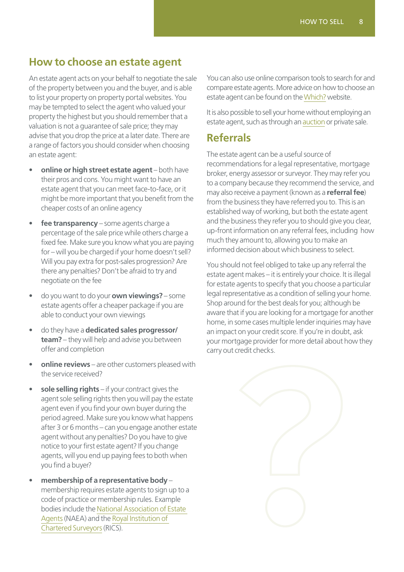### <span id="page-7-0"></span>**How to choose an estate agent**

An estate agent acts on your behalf to negotiate the sale of the property between you and the buyer, and is able to list your property on property portal websites. You may be tempted to select the agent who valued your property the highest but you should remember that a valuation is not a guarantee of sale price; they may advise that you drop the price at a later date. There are a range of factors you should consider when choosing an estate agent:

- **online or high street estate agent** both have their pros and cons. You might want to have an estate agent that you can meet face-to-face, or it might be more important that you benefit from the cheaper costs of an online agency
- **fee transparency** some agents charge a percentage of the sale price while others charge a fixed fee. Make sure you know what you are paying for – will you be charged if your home doesn't sell? Will you pay extra for post-sales progression? Are there any penalties? Don't be afraid to try and negotiate on the fee
- do you want to do your **own viewings?** some estate agents offer a cheaper package if you are able to conduct your own viewings
- do they have a **dedicated sales progressor/ team?** – they will help and advise you between offer and completion
- **online reviews** are other customers pleased with the service received?
- sole selling rights if your contract gives the agent sole selling rights then you will pay the estate agent even if you find your own buyer during the period agreed. Make sure you know what happens after 3 or 6 months – can you engage another estate agent without any penalties? Do you have to give notice to your first estate agent? If you change agents, will you end up paying fees to both when you find a buyer?
- **membership of a representative body** membership requires estate agents to sign up to a code of practice or membership rules. Example bodies include the [National Association of Estate](http://www.naea.co.uk/find-agent.aspx)  [Agents](http://www.naea.co.uk/find-agent.aspx) (NAEA) and the [Royal Institution of](https://www.rics.org/uk)  [Chartered Surveyors](https://www.rics.org/uk) (RICS).

You can also use online comparison tools to search for and compare estate agents. More advice on how to choose an estate agent can be found on the [Which?](https://www.which.co.uk/money/mortgages-and-property/home-movers/selling-a-house/how-to-find-the-best-estate-agent-a5cf52k9rk70) website.

It is also possible to sell your home without employing an estate agent, such as through an [auction](https://www.which.co.uk/money/mortgages-and-property/first-time-buyers/buying-a-home/property-auctions-athvb3j7lmd4) or private sale.

### **Referrals**

The estate agent can be a useful source of recommendations for a legal representative, mortgage broker, energy assessor or surveyor. They may refer you to a company because they recommend the service, and may also receive a payment (known as a **referral fee**) from the business they have referred you to. This is an established way of working, but both the estate agent and the business they refer you to should give you clear, up-front information on any referral fees, including how much they amount to, allowing you to make an informed decision about which business to select.

You should not feel obliged to take up any referral the estate agent makes – it is entirely your choice. It is illegal for estate agents to specify that you choose a particular legal representative as a condition of selling your home. Shop around for the best deals for you; although be aware that if you are looking for a mortgage for another home, in some cases multiple lender inquiries may have an impact on your credit score. If you're in doubt, ask your mortgage provider for more detail about how they carry out credit checks.

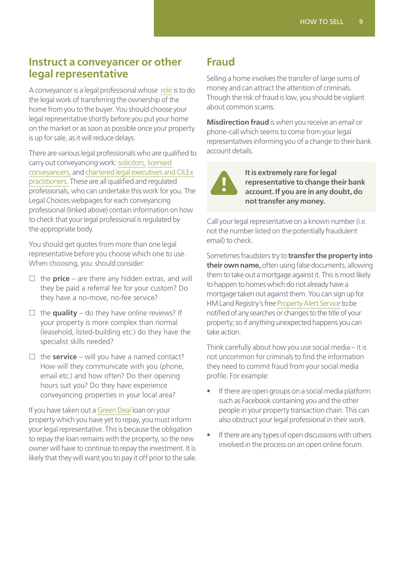#### <span id="page-8-0"></span>**Instruct a conveyancer or other legal representative**

A conveyancer is a legal professional whose [role](https://www.moneyadviceservice.org.uk/en/articles/find-the-right-solicitor-or-conveyancer) is to do the legal work of transferring the ownership of the home from you to the buyer. You should choose your legal representative shortly before you put your home on the market or as soon as possible once your property is up for sale, as it will reduce delays.

There are various legal professionals who are qualified to carry out conveyancing work: [solicitors,](https://www.legalchoices.org.uk/types-of-lawyers/types-regulated-lawyers/solicitors/) [licensed](https://www.legalchoices.org.uk/types-of-lawyers/types-regulated-lawyers/licensed-conveyancers/)  [conveyancers,](https://www.legalchoices.org.uk/types-of-lawyers/types-regulated-lawyers/licensed-conveyancers/) and [chartered legal executives and CILEx](https://www.legalchoices.org.uk/types-of-lawyers/regulated-lawyers/legal-executives)  [practitioners.](https://www.legalchoices.org.uk/types-of-lawyers/regulated-lawyers/legal-executives) These are all qualified and regulated professionals, who can undertake this work for you. The Legal Choices webpages for each conveyancing professional (linked above) contain information on how to check that your legal professional is regulated by the appropriate body.

You should get quotes from more than one legal representative before you choose which one to use. When choosing, you should consider:

- $\Box$  the **price** are there any hidden extras, and will they be paid a referral fee for your custom? Do they have a no-move, no-fee service?
- $\Box$  the **quality** do they have online reviews? If your property is more complex than normal (leasehold, listed-building etc.) do they have the specialist skills needed?
- $\Box$  the **service** will you have a named contact? How will they communicate with you (phone, email etc.) and how often? Do their opening hours suit you? Do they have experience conveyancing properties in your local area?

If you have taken out a [Green Deal](https://www.gov.uk/green-deal-energy-saving-measures) loan on your property which you have yet to repay, you must inform your legal representative. This is because the obligation to repay the loan remains with the property, so the new owner will have to continue to repay the investment. It is likely that they will want you to pay it off prior to the sale.

### **Fraud**

Selling a home involves the transfer of large sums of money and can attract the attention of criminals. Though the risk of fraud is low, you should be vigilant about common scams.

**Misdirection fraud** is when you receive an email or phone-call which seems to come from your legal representatives informing you of a change to their bank account details.



**It is extremely rare for legal representative to change their bank account. If you are in any doubt, do not transfer any money.**

Call your legal representative on a known number (i.e. not the number listed on the potentially fraudulent email) to check.

Sometimes fraudsters try to **transfer the property into their own name,** often using false documents, allowing them to take out a mortgage against it. This is most likely to happen to homes which do not already have a mortgage taken out against them. You can sign up for HM Land Registry's free [Property Alert Service](https://propertyalert.landregistry.gov.uk/) to be notified of any searches or changes to the title of your property; so if anything unexpected happens you can take action.

Think carefully about how you use social media – it is not uncommon for criminals to find the information they need to commit fraud from your social media profile. For example:

- If there are open groups on a social media platform such as Facebook containing you and the other people in your property transaction chain. This can also obstruct your legal professional in their work.
- If there are any types of open discussions with others involved in the process on an open online forum.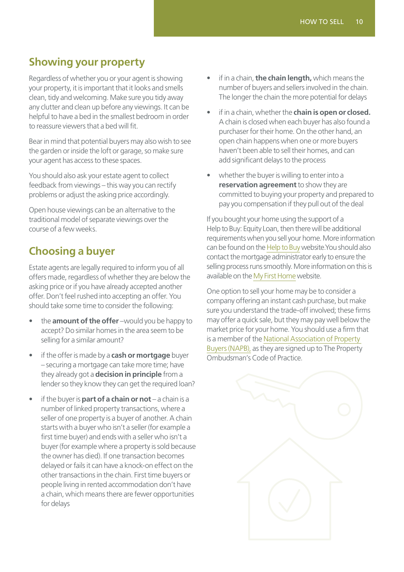### <span id="page-9-0"></span>**Showing your property**

Regardless of whether you or your agent is showing your property, it is important that it looks and smells clean, tidy and welcoming. Make sure you tidy away any clutter and clean up before any viewings. It can be helpful to have a bed in the smallest bedroom in order to reassure viewers that a bed will fit.

Bear in mind that potential buyers may also wish to see the garden or inside the loft or garage, so make sure your agent has access to these spaces.

You should also ask your estate agent to collect feedback from viewings – this way you can rectify problems or adjust the asking price accordingly.

Open house viewings can be an alternative to the traditional model of separate viewings over the course of a few weeks.

# **Choosing a buyer**

Estate agents are legally required to inform you of all offers made, regardless of whether they are below the asking price or if you have already accepted another offer. Don't feel rushed into accepting an offer. You should take some time to consider the following:

- the **amount of the offer** –would you be happy to accept? Do similar homes in the area seem to be selling for a similar amount?
- if the offer is made by a **cash or mortgage** buyer – securing a mortgage can take more time; have they already got a **decision in principle** from a lender so they know they can get the required loan?
- if the buyer is **part of a chain or not**  a chain is a number of linked property transactions, where a seller of one property is a buyer of another. A chain starts with a buyer who isn't a seller (for example a first time buyer) and ends with a seller who isn't a buyer (for example where a property is sold because the owner has died). If one transaction becomes delayed or fails it can have a knock-on effect on the other transactions in the chain. First time buyers or people living in rented accommodation don't have a chain, which means there are fewer opportunities for delays
- if in a chain, **the chain length,** which means the number of buyers and sellers involved in the chain. The longer the chain the more potential for delays
- if in a chain, whether the **chain is open or closed.** A chain is closed when each buyer has also found a purchaser for their home. On the other hand, an open chain happens when one or more buyers haven't been able to sell their homes, and can add significant delays to the process
- whether the buyer is willing to enter into a **reservation agreement** to show they are committed to buying your property and prepared to pay you compensation if they pull out of the deal

If you bought your home using the support of a Help to Buy: Equity Loan, then there will be additional requirements when you sell your home. More information can be found on the [Help to Buy](https://www.helptobuy.gov.uk/wp-content/uploads/Help-to-Buy-Buyers-Guide-Feb-2018-FINAL.pdf) website.You should also contact the mortgage administrator early to ensure the selling process runs smoothly. More information on this is available on the [My First Home](https://www.myfirsthome.org.uk/) website.

One option to sell your home may be to consider a company offering an instant cash purchase, but make sure you understand the trade-off involved; these firms may offer a quick sale, but they may pay well below the market price for your home. You should use a firm that is a member of the [National Association of Property](https://napb.co.uk/)  [Buyers \(NAPB\),](https://napb.co.uk/) as they are signed up to The Property Ombudsman's Code of Practice.

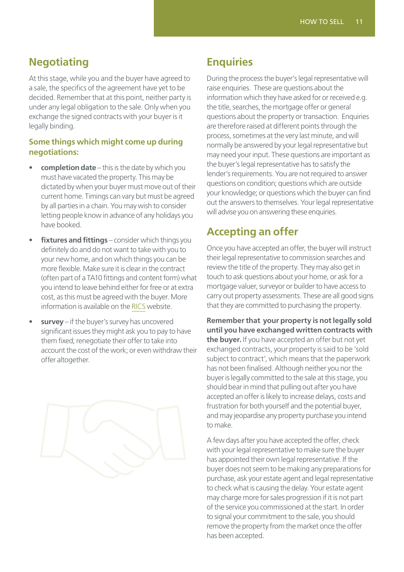### <span id="page-10-0"></span>**Negotiating**

At this stage, while you and the buyer have agreed to a sale, the specifics of the agreement have yet to be decided. Remember that at this point, neither party is under any legal obligation to the sale. Only when you exchange the signed contracts with your buyer is it legally binding.

#### **Some things which might come up during negotiations:**

- **completion date** this is the date by which you must have vacated the property. This may be dictated by when your buyer must move out of their current home. Timings can vary but must be agreed by all parties in a chain. You may wish to consider letting people know in advance of any holidays you have booked.
- **fixtures and fittings** consider which things you definitely do and do not want to take with you to your new home, and on which things you can be more flexible. Make sure it is clear in the contract (often part of a TA10 fittings and content form) what you intend to leave behind either for free or at extra cost, as this must be agreed with the buyer. More information is available on the [RICS](https://www.ricsfirms.com/glossary/fixtures-and-fittings-chattels/) website.
- survey if the buyer's survey has uncovered significant issues they might ask you to pay to have them fixed; renegotiate their offer to take into account the cost of the work; or even withdraw their offer altogether.



### **Enquiries**

During the process the buyer's legal representative will raise enquiries. These are questions about the information which they have asked for or received e.g. the title, searches, the mortgage offer or general questions about the property or transaction. Enquiries are therefore raised at different points through the process, sometimes at the very last minute, and will normally be answered by your legal representative but may need your input. These questions are important as the buyer's legal representative has to satisfy the lender's requirements. You are not required to answer questions on condition; questions which are outside your knowledge; or questions which the buyer can find out the answers to themselves. Your legal representative will advise you on answering these enquiries.

# **Accepting an offer**

Once you have accepted an offer, the buyer will instruct their legal representative to commission searches and review the title of the property. They may also get in touch to ask questions about your home, or ask for a mortgage valuer, surveyor or builder to have access to carry out property assessments. These are all good signs that they are committed to purchasing the property.

**Remember that your property is not legally sold until you have exchanged written contracts with the buyer.** If you have accepted an offer but not yet exchanged contracts, your property is said to be 'sold subject to contract', which means that the paperwork has not been finalised. Although neither you nor the buyer is legally committed to the sale at this stage, you should bear in mind that pulling out after you have accepted an offer is likely to increase delays, costs and frustration for both yourself and the potential buyer, and may jeopardise any property purchase you intend to make.

A few days after you have accepted the offer, check with your legal representative to make sure the buyer has appointed their own legal representative. If the buyer does not seem to be making any preparations for purchase, ask your estate agent and legal representative to check what is causing the delay. Your estate agent may charge more for sales progression if it is not part of the service you commissioned at the start. In order to signal your commitment to the sale, you should remove the property from the market once the offer has been accepted.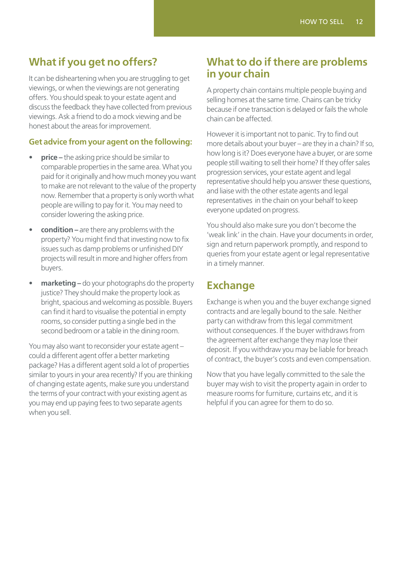### <span id="page-11-0"></span>**What if you get no offers?**

It can be disheartening when you are struggling to get viewings, or when the viewings are not generating offers. You should speak to your estate agent and discuss the feedback they have collected from previous viewings. Ask a friend to do a mock viewing and be honest about the areas for improvement.

#### **Get advice from your agent on the following:**

- **price** the asking price should be similar to comparable properties in the same area. What you paid for it originally and how much money you want to make are not relevant to the value of the property now. Remember that a property is only worth what people are willing to pay for it. You may need to consider lowering the asking price.
- **condition** are there any problems with the property? You might find that investing now to fix issues such as damp problems or unfinished DIY projects will result in more and higher offers from buyers.
- **marketing** do your photographs do the property justice? They should make the property look as bright, spacious and welcoming as possible. Buyers can find it hard to visualise the potential in empty rooms, so consider putting a single bed in the second bedroom or a table in the dining room.

You may also want to reconsider your estate agent – could a different agent offer a better marketing package? Has a different agent sold a lot of properties similar to yours in your area recently? If you are thinking of changing estate agents, make sure you understand the terms of your contract with your existing agent as you may end up paying fees to two separate agents when you sell.

### **What to do if there are problems in your chain**

A property chain contains multiple people buying and selling homes at the same time. Chains can be tricky because if one transaction is delayed or fails the whole chain can be affected.

However it is important not to panic. Try to find out more details about your buyer – are they in a chain? If so, how long is it? Does everyone have a buyer, or are some people still waiting to sell their home? If they offer sales progression services, your estate agent and legal representative should help you answer these questions, and liaise with the other estate agents and legal representatives in the chain on your behalf to keep everyone updated on progress.

You should also make sure you don't become the 'weak link' in the chain. Have your documents in order, sign and return paperwork promptly, and respond to queries from your estate agent or legal representative in a timely manner.

### **Exchange**

Exchange is when you and the buyer exchange signed contracts and are legally bound to the sale. Neither party can withdraw from this legal commitment without consequences. If the buyer withdraws from the agreement after exchange they may lose their deposit. If you withdraw you may be liable for breach of contract, the buyer's costs and even compensation.

Now that you have legally committed to the sale the buyer may wish to visit the property again in order to measure rooms for furniture, curtains etc, and it is helpful if you can agree for them to do so.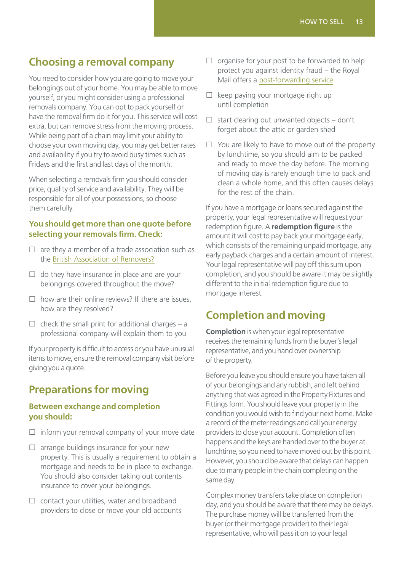### <span id="page-12-0"></span>**Choosing a removal company**

You need to consider how you are going to move your belongings out of your home. You may be able to move yourself, or you might consider using a professional removals company. You can opt to pack yourself or have the removal firm do it for you. This service will cost extra, but can remove stress from the moving process. While being part of a chain may limit your ability to choose your own moving day, you may get better rates and availability if you try to avoid busy times such as Fridays and the first and last days of the month.

When selecting a removals firm you should consider price, quality of service and availability. They will be responsible for all of your possessions, so choose them carefully.

#### **You should get more than one quote before selecting your removals firm. Check:**

- $\Box$  are they a member of a trade association such as the [British Association of Removers?](https://bar.co.uk/)
- $\Box$  do they have insurance in place and are your belongings covered throughout the move?
- $\square$  how are their online reviews? If there are issues, how are they resolved?
- $\Box$  check the small print for additional charges a professional company will explain them to you

If your property is difficult to access or you have unusual items to move, ensure the removal company visit before giving you a quote.

# **Preparations for moving**

#### **Between exchange and completion you should:**

- $\Box$  inform your removal company of your move date
- $\square$  arrange buildings insurance for your new property. This is usually a requirement to obtain a mortgage and needs to be in place to exchange. You should also consider taking out contents insurance to cover your belongings.
- $\square$  contact your utilities, water and broadband providers to close or move your old accounts
- $\square$  organise for your post to be forwarded to help protect you against identity fraud – the Royal Mail offers a [post-forwarding service](https://www.royalmail.com/personal/receiving-mail/redirection/)
- $\Box$  keep paying your mortgage right up until completion
- $\Box$  start clearing out unwanted objects don't forget about the attic or garden shed
- $\Box$  You are likely to have to move out of the property by lunchtime, so you should aim to be packed and ready to move the day before. The morning of moving day is rarely enough time to pack and clean a whole home, and this often causes delays for the rest of the chain.

If you have a mortgage or loans secured against the property, your legal representative will request your redemption figure. A **redemption figure** is the amount it will cost to pay back your mortgage early, which consists of the remaining unpaid mortgage, any early payback charges and a certain amount of interest. Your legal representative will pay off this sum upon completion, and you should be aware it may be slightly different to the initial redemption figure due to mortgage interest.

# **Completion and moving**

**Completion** is when your legal representative receives the remaining funds from the buyer's legal representative, and you hand over ownership of the property.

Before you leave you should ensure you have taken all of your belongings and any rubbish, and left behind anything that was agreed in the Property Fixtures and Fittings form. You should leave your property in the condition you would wish to find your next home. Make a record of the meter readings and call your energy providers to close your account. Completion often happens and the keys are handed over to the buyer at lunchtime, so you need to have moved out by this point. However, you should be aware that delays can happen due to many people in the chain completing on the same day.

Complex money transfers take place on completion day, and you should be aware that there may be delays. The purchase money will be transferred from the buyer (or their mortgage provider) to their legal representative, who will pass it on to your legal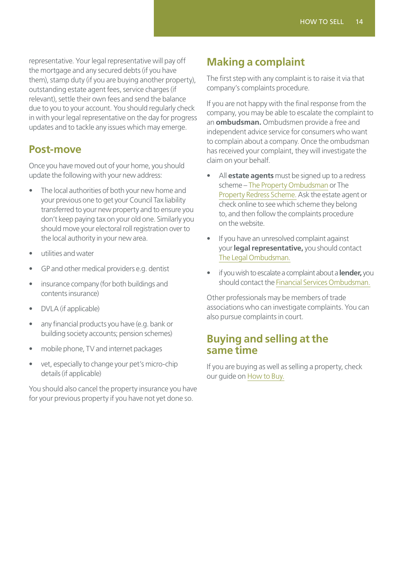<span id="page-13-0"></span>representative. Your legal representative will pay off the mortgage and any secured debts (if you have them), stamp duty (if you are buying another property), outstanding estate agent fees, service charges (if relevant), settle their own fees and send the balance due to you to your account. You should regularly check in with your legal representative on the day for progress updates and to tackle any issues which may emerge.

#### <span id="page-13-1"></span>**Post-move**

Once you have moved out of your home, you should update the following with your new address:

- The local authorities of both your new home and your previous one to get your Council Tax liability transferred to your new property and to ensure you don't keep paying tax on your old one. Similarly you should move your electoral roll registration over to the local authority in your new area.
- utilities and water
- GP and other medical providers e.g. dentist
- insurance company (for both buildings and contents insurance)
- DVLA (if applicable)
- any financial products you have (e.g. bank or building society accounts; pension schemes)
- mobile phone, TV and internet packages
- vet, especially to change your pet's micro-chip details (if applicable)

You should also cancel the property insurance you have for your previous property if you have not yet done so.

### **Making a complaint**

The first step with any complaint is to raise it via that company's complaints procedure.

If you are not happy with the final response from the company, you may be able to escalate the complaint to an **ombudsman.** Ombudsmen provide a free and independent advice service for consumers who want to complain about a company. Once the ombudsman has received your complaint, they will investigate the claim on your behalf.

- All **estate agents** must be signed up to a redress scheme – [The Property Ombudsman](https://www.tpos.co.uk/) or The [Property Redress Scheme.](https://www.theprs.co.uk/) Ask the estate agent or check online to see which scheme they belong to, and then follow the complaints procedure on the website.
- If you have an unresolved complaint against your **legal representative,** you should contact [The Legal Ombudsman.](http://www.legalombudsman.org.uk/)
- if you wish to escalate a complaint about a **lender,** you should contact the [Financial Services Ombudsman.](http://www.financial-ombudsman.org.uk/)

Other professionals may be members of trade associations who can investigate complaints. You can also pursue complaints in court.

#### **Buying and selling at the same time**

If you are buying as well as selling a property, check our guide on [How to Buy.](https://www.gov.uk/government/publications/how-to-buy-a-home)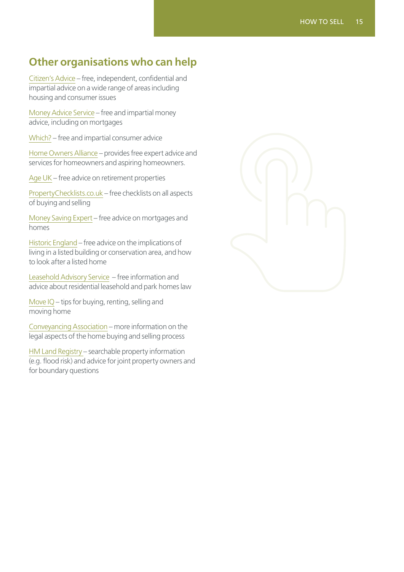### <span id="page-14-0"></span>**Other organisations who can help**

[Citizen's Advice](https://www.citizensadvice.org.uk/housing/moving-and-improving-your-home/) – free, independent, confidential and impartial advice on a wide range of areas including housing and consumer issues

[Money Advice Service](https://www.moneyadviceservice.org.uk/en/categories/mortgages) – free and impartial money advice, including on mortgages

[Which?](https://www.which.co.uk/money/mortgages-and-property) – free and impartial consumer advice

[Home Owners Alliance](https://hoa.org.uk/) – provides free expert advice and services for homeowners and aspiring homeowners.

[Age UK](https://www.ageuk.org.uk/information-advice/care/housing-options/) – free advice on retirement properties

[PropertyChecklists.co.uk](http://www.propertychecklists.co.uk/) – free checklists on all aspects of buying and selling

[Money Saving Expert](https://www.moneysavingexpert.com/mortgages/) – free advice on mortgages and homes

[Historic England](https://historicengland.org.uk/advice/your-home/) – free advice on the implications of living in a listed building or conservation area, and how to look after a listed home

[Leasehold Advisory Service](https://www.lease-advice.org/) – free information and advice about residential leasehold and park homes law

[Move IQ](https://www.moveiq.co.uk/) – tips for buying, renting, selling and moving home

[Conveyancing Association](http://www.conveyancingassociation.org.uk/) – more information on the legal aspects of the home buying and selling process

[HM Land Registry –](https://www.gov.uk/government/organisations/land-registry) searchable property information (e.g. flood risk) and advice for joint property owners and for boundary questions

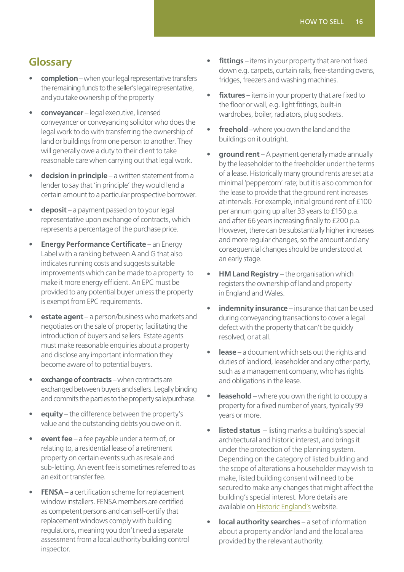### <span id="page-15-0"></span>**Glossary**

- **completion** when your legal representative transfers the remaining funds to the seller's legal representative, and you take ownership of the property
- **conveyancer** legal executive, licensed conveyancer or conveyancing solicitor who does the legal work to do with transferring the ownership of land or buildings from one person to another. They will generally owe a duty to their client to take reasonable care when carrying out that legal work.
- **decision in principle** a written statement from a lender to say that 'in principle' they would lend a certain amount to a particular prospective borrower.
- **deposit** a payment passed on to your legal representative upon exchange of contracts, which represents a percentage of the purchase price.
- **Energy Performance Certificate** an Energy Label with a ranking between A and G that also indicates running costs and suggests suitable improvements which can be made to a property to make it more energy efficient. An EPC must be provided to any potential buyer unless the property is exempt from EPC requirements.
- **estate agent** a person/business who markets and negotiates on the sale of property; facilitating the introduction of buyers and sellers. Estate agents must make reasonable enquiries about a property and disclose any important information they become aware of to potential buyers.
- **exchange of contracts** when contracts are exchanged between buyers and sellers. Legally binding and commits the parties to the property sale/purchase.
- **equity** the difference between the property's value and the outstanding debts you owe on it.
- **event fee** a fee payable under a term of, or relating to, a residential lease of a retirement property on certain events such as resale and sub-letting. An event fee is sometimes referred to as an exit or transfer fee.
- **FENSA** a certification scheme for replacement window installers. FENSA members are certified as competent persons and can self-certify that replacement windows comply with building regulations, meaning you don't need a separate assessment from a local authority building control inspector.
- **fittings** items in your property that are not fixed down e.g. carpets, curtain rails, free-standing ovens, fridges, freezers and washing machines.
- **fixtures** items in your property that are fixed to the floor or wall, e.g. light fittings, built-in wardrobes, boiler, radiators, plug sockets.
- **freehold** –where you own the land and the buildings on it outright.
- **ground rent** A payment generally made annually by the leaseholder to the freeholder under the terms of a lease. Historically many ground rents are set at a minimal 'peppercorn' rate; but it is also common for the lease to provide that the ground rent increases at intervals. For example, initial ground rent of £100 per annum going up after 33 years to £150 p.a. and after 66 years increasing finally to £200 p.a. However, there can be substantially higher increases and more regular changes, so the amount and any consequential changes should be understood at an early stage.
- **HM Land Registry** the organisation which registers the ownership of land and property in England and Wales.
- **indemnity insurance**  insurance that can be used during conveyancing transactions to cover a legal defect with the property that can't be quickly resolved, or at all.
- **lease** a document which sets out the rights and duties of landlord, leaseholder and any other party, such as a management company, who has rights and obligations in the lease.
- **leasehold** where you own the right to occupy a property for a fixed number of years, typically 99 years or more.
- **listed status**  listing marks a building's special architectural and historic interest, and brings it under the protection of the planning system. Depending on the category of listed building and the scope of alterations a householder may wish to make, listed building consent will need to be secured to make any changes that might affect the building's special interest. More details are available on [Historic England's](https://historicengland.org.uk/listing/what-is-designation/listed-buildings/) website.
- **local authority searches** a set of information about a property and/or land and the local area provided by the relevant authority.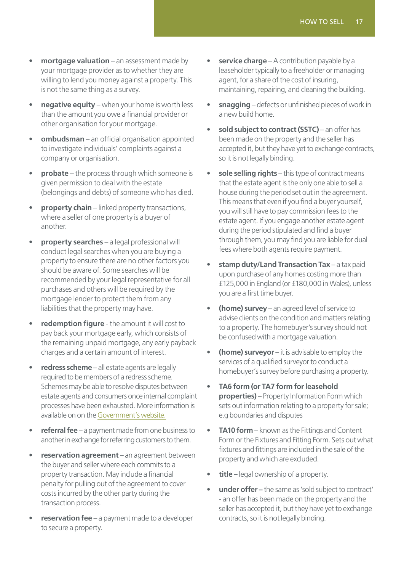- **mortgage valuation** an assessment made by your mortgage provider as to whether they are willing to lend you money against a property. This is not the same thing as a survey.
- **negative equity** when your home is worth less than the amount you owe a financial provider or other organisation for your mortgage.
- **ombudsman**  an official organisation appointed to investigate individuals' complaints against a company or organisation.
- **probate** the process through which someone is given permission to deal with the estate (belongings and debts) of someone who has died.
- **property chain** linked property transactions, where a seller of one property is a buyer of another.
- **property searches** a legal professional will conduct legal searches when you are buying a property to ensure there are no other factors you should be aware of. Some searches will be recommended by your legal representative for all purchases and others will be required by the mortgage lender to protect them from any liabilities that the property may have.
- **redemption figure** the amount it will cost to pay back your mortgage early, which consists of the remaining unpaid mortgage, any early payback charges and a certain amount of interest.
- **redress scheme** all estate agents are legally required to be members of a redress scheme. Schemes may be able to resolve disputes between estate agents and consumers once internal complaint processes have been exhausted. More information is available on on the [Government's website.](https://www.gov.uk/redress-scheme-estate-agencies)
- **referral fee** a payment made from one business to another in exchange for referring customers to them.
- **reservation agreement** an agreement between the buyer and seller where each commits to a property transaction. May include a financial penalty for pulling out of the agreement to cover costs incurred by the other party during the transaction process.
- **reservation fee** a payment made to a developer to secure a property.
- **service charge** A contribution payable by a leaseholder typically to a freeholder or managing agent, for a share of the cost of insuring, maintaining, repairing, and cleaning the building.
- **snagging** defects or unfinished pieces of work in a new build home.
- sold subject to contract (SSTC) an offer has been made on the property and the seller has accepted it, but they have yet to exchange contracts, so it is not legally binding.
- **sole selling rights** this type of contract means that the estate agent is the only one able to sell a house during the period set out in the agreement. This means that even if you find a buyer yourself, you will still have to pay commission fees to the estate agent. If you engage another estate agent during the period stipulated and find a buyer through them, you may find you are liable for dual fees where both agents require payment.
- **stamp duty/Land Transaction Tax** a tax paid upon purchase of any homes costing more than £125,000 in England (or £180,000 in Wales), unless you are a first time buyer.
- **(home) survey** an agreed level of service to advise clients on the condition and matters relating to a property. The homebuyer's survey should not be confused with a mortgage valuation.
- **(home) surveyor** it is advisable to employ the services of a qualified surveyor to conduct a homebuyer's survey before purchasing a property.
- **TA6 form (or TA7 form for leasehold properties)** – Property Information Form which sets out information relating to a property for sale; e.g boundaries and disputes
- **TA10 form** known as the Fittings and Content Form or the Fixtures and Fitting Form. Sets out what fixtures and fittings are included in the sale of the property and which are excluded.
- **title** legal ownership of a property.
- **under offer –** the same as 'sold subject to contract' - an offer has been made on the property and the seller has accepted it, but they have yet to exchange contracts, so it is not legally binding.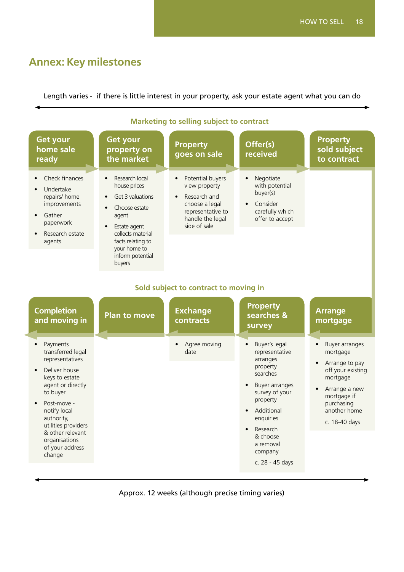# <span id="page-17-0"></span>**Annex: Key milestones**

Length varies - if there is little interest in your property, ask your estate agent what you can do

| <b>Get your</b><br>home sale<br>ready                                                                                                                                                                                                                                   | <b>Get your</b><br>property on<br>the market                                                                                                                                                                                | <b>Property</b><br>goes on sale                                                                                                                        | Offer(s)<br>received                                                                                                                                                                                                           | <b>Property</b><br>sold subject<br>to contract                                                                                                                                         |  |  |  |
|-------------------------------------------------------------------------------------------------------------------------------------------------------------------------------------------------------------------------------------------------------------------------|-----------------------------------------------------------------------------------------------------------------------------------------------------------------------------------------------------------------------------|--------------------------------------------------------------------------------------------------------------------------------------------------------|--------------------------------------------------------------------------------------------------------------------------------------------------------------------------------------------------------------------------------|----------------------------------------------------------------------------------------------------------------------------------------------------------------------------------------|--|--|--|
| Check finances<br>Undertake<br>repairs/ home<br>improvements<br>Gather<br>paperwork<br>Research estate<br>agents                                                                                                                                                        | Research local<br>$\bullet$<br>house prices<br>Get 3 valuations<br>$\bullet$<br>Choose estate<br>agent<br>Estate agent<br>$\bullet$<br>collects material<br>facts relating to<br>your home to<br>inform potential<br>buyers | Potential buyers<br>$\bullet$<br>view property<br>Research and<br>$\bullet$<br>choose a legal<br>representative to<br>handle the legal<br>side of sale | Negotiate<br>$\bullet$<br>with potential<br>buyer(s)<br>Consider<br>carefully which<br>offer to accept                                                                                                                         |                                                                                                                                                                                        |  |  |  |
| Sold subject to contract to moving in                                                                                                                                                                                                                                   |                                                                                                                                                                                                                             |                                                                                                                                                        |                                                                                                                                                                                                                                |                                                                                                                                                                                        |  |  |  |
| <b>Completion</b><br>and moving in                                                                                                                                                                                                                                      | <b>Plan to move</b>                                                                                                                                                                                                         | <b>Exchange</b><br>contracts                                                                                                                           | <b>Property</b><br>searches &<br>survey                                                                                                                                                                                        | <b>Arrange</b><br>mortgage                                                                                                                                                             |  |  |  |
| Payments<br>$\bullet$<br>transferred legal<br>representatives<br>Deliver house<br>keys to estate<br>agent or directly<br>to buyer<br>Post-move -<br>notify local<br>authority,<br>utilities providers<br>& other relevant<br>organisations<br>of your address<br>change |                                                                                                                                                                                                                             | Agree moving<br>$\bullet$<br>date                                                                                                                      | Buyer's legal<br>$\bullet$<br>representative<br>arranges<br>property<br>searches<br>Buyer arranges<br>survey of your<br>property<br>Additional<br>enquiries<br>Research<br>& choose<br>a removal<br>company<br>c. 28 - 45 days | Buyer arranges<br>$\bullet$<br>mortgage<br>Arrange to pay<br>$\bullet$<br>off your existing<br>mortgage<br>Arrange a new<br>mortgage if<br>purchasing<br>another home<br>c. 18-40 days |  |  |  |

#### **Marketing to selling subject to contract**

Approx. 12 weeks (although precise timing varies)